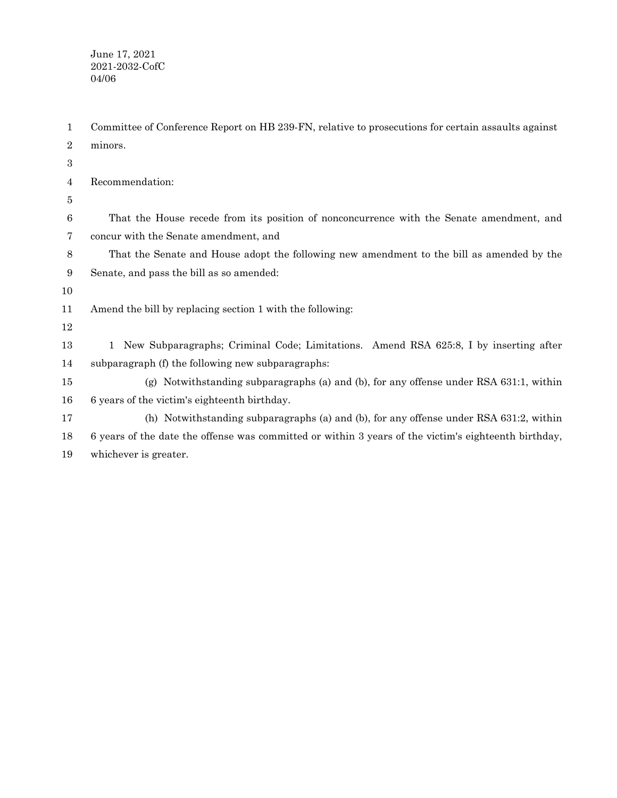June 17, 2021 2021-2032-CofC 04/06

Committee of Conference Report on HB 239-FN, relative to prosecutions for certain assaults against minors. Recommendation: That the House recede from its position of nonconcurrence with the Senate amendment, and concur with the Senate amendment, and That the Senate and House adopt the following new amendment to the bill as amended by the Senate, and pass the bill as so amended: Amend the bill by replacing section 1 with the following: 1 New Subparagraphs; Criminal Code; Limitations. Amend RSA 625:8, I by inserting after subparagraph (f) the following new subparagraphs: (g) Notwithstanding subparagraphs (a) and (b), for any offense under RSA 631:1, within 6 years of the victim's eighteenth birthday. (h) Notwithstanding subparagraphs (a) and (b), for any offense under RSA 631:2, within 6 years of the date the offense was committed or within 3 years of the victim's eighteenth birthday, whichever is greater. 1 2 3 4 5 6 7 8 9 10 11 12 13 14 15 16 17 18 19